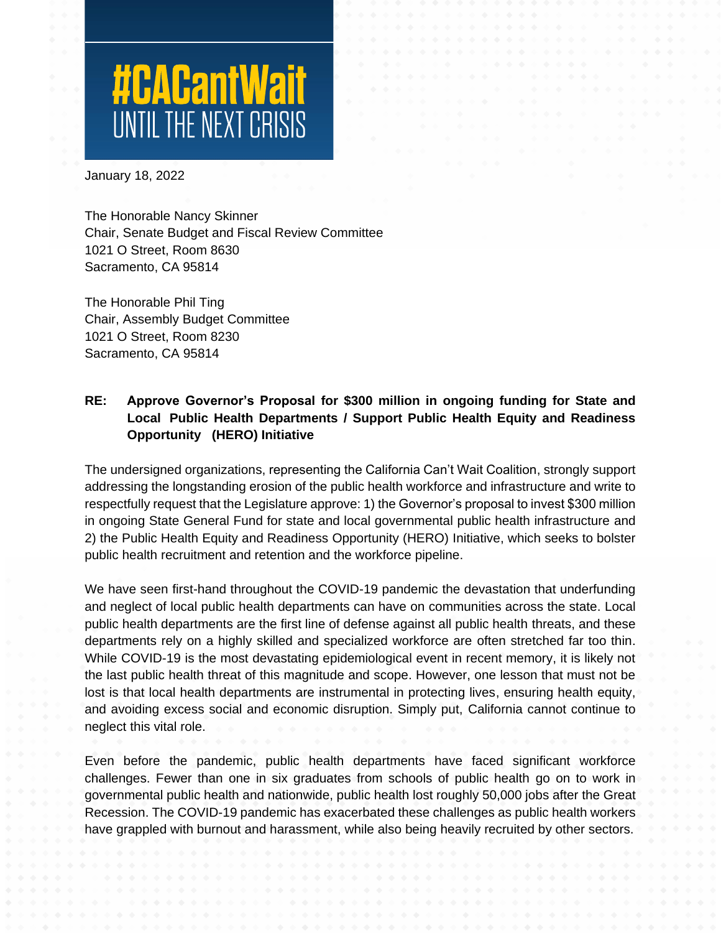# **#CACantWait**

January 18, 2022

The Honorable Nancy Skinner Chair, Senate Budget and Fiscal Review Committee 1021 O Street, Room 8630 Sacramento, CA 95814

The Honorable Phil Ting Chair, Assembly Budget Committee 1021 O Street, Room 8230 Sacramento, CA 95814

# **RE: Approve Governor's Proposal for \$300 million in ongoing funding for State and Local Public Health Departments / Support Public Health Equity and Readiness Opportunity (HERO) Initiative**

The undersigned organizations, representing the California Can't Wait Coalition, strongly support addressing the longstanding erosion of the public health workforce and infrastructure and write to respectfully request that the Legislature approve: 1) the Governor's proposal to invest \$300 million in ongoing State General Fund for state and local governmental public health infrastructure and 2) the Public Health Equity and Readiness Opportunity (HERO) Initiative, which seeks to bolster public health recruitment and retention and the workforce pipeline.

We have seen first-hand throughout the COVID-19 pandemic the devastation that underfunding and neglect of local public health departments can have on communities across the state. Local public health departments are the first line of defense against all public health threats, and these departments rely on a highly skilled and specialized workforce are often stretched far too thin. While COVID-19 is the most devastating epidemiological event in recent memory, it is likely not the last public health threat of this magnitude and scope. However, one lesson that must not be lost is that local health departments are instrumental in protecting lives, ensuring health equity, and avoiding excess social and economic disruption. Simply put, California cannot continue to neglect this vital role.

Even before the pandemic, public health departments have faced significant workforce challenges. Fewer than one in six graduates from schools of public health go on to work in governmental public health and nationwide, public health lost roughly 50,000 jobs after the Great Recession. The COVID-19 pandemic has exacerbated these challenges as public health workers have grappled with burnout and harassment, while also being heavily recruited by other sectors.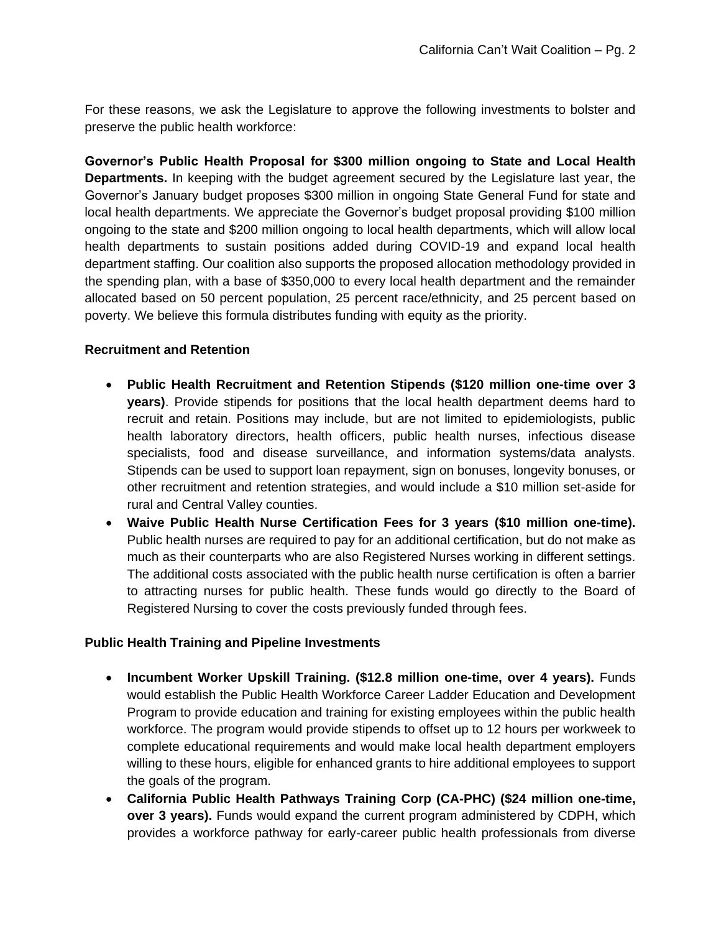For these reasons, we ask the Legislature to approve the following investments to bolster and preserve the public health workforce:

**Governor's Public Health Proposal for \$300 million ongoing to State and Local Health Departments.** In keeping with the budget agreement secured by the Legislature last year, the Governor's January budget proposes \$300 million in ongoing State General Fund for state and local health departments. We appreciate the Governor's budget proposal providing \$100 million ongoing to the state and \$200 million ongoing to local health departments, which will allow local health departments to sustain positions added during COVID-19 and expand local health department staffing. Our coalition also supports the proposed allocation methodology provided in the spending plan, with a base of \$350,000 to every local health department and the remainder allocated based on 50 percent population, 25 percent race/ethnicity, and 25 percent based on poverty. We believe this formula distributes funding with equity as the priority.

# **Recruitment and Retention**

- **Public Health Recruitment and Retention Stipends (\$120 million one-time over 3 years)**. Provide stipends for positions that the local health department deems hard to recruit and retain. Positions may include, but are not limited to epidemiologists, public health laboratory directors, health officers, public health nurses, infectious disease specialists, food and disease surveillance, and information systems/data analysts. Stipends can be used to support loan repayment, sign on bonuses, longevity bonuses, or other recruitment and retention strategies, and would include a \$10 million set-aside for rural and Central Valley counties.
- **Waive Public Health Nurse Certification Fees for 3 years (\$10 million one-time).**  Public health nurses are required to pay for an additional certification, but do not make as much as their counterparts who are also Registered Nurses working in different settings. The additional costs associated with the public health nurse certification is often a barrier to attracting nurses for public health. These funds would go directly to the Board of Registered Nursing to cover the costs previously funded through fees.

# **Public Health Training and Pipeline Investments**

- **Incumbent Worker Upskill Training. (\$12.8 million one-time, over 4 years).** Funds would establish the Public Health Workforce Career Ladder Education and Development Program to provide education and training for existing employees within the public health workforce. The program would provide stipends to offset up to 12 hours per workweek to complete educational requirements and would make local health department employers willing to these hours, eligible for enhanced grants to hire additional employees to support the goals of the program.
- **California Public Health Pathways Training Corp (CA-PHC) (\$24 million one-time, over 3 years).** Funds would expand the current program administered by CDPH, which provides a workforce pathway for early-career public health professionals from diverse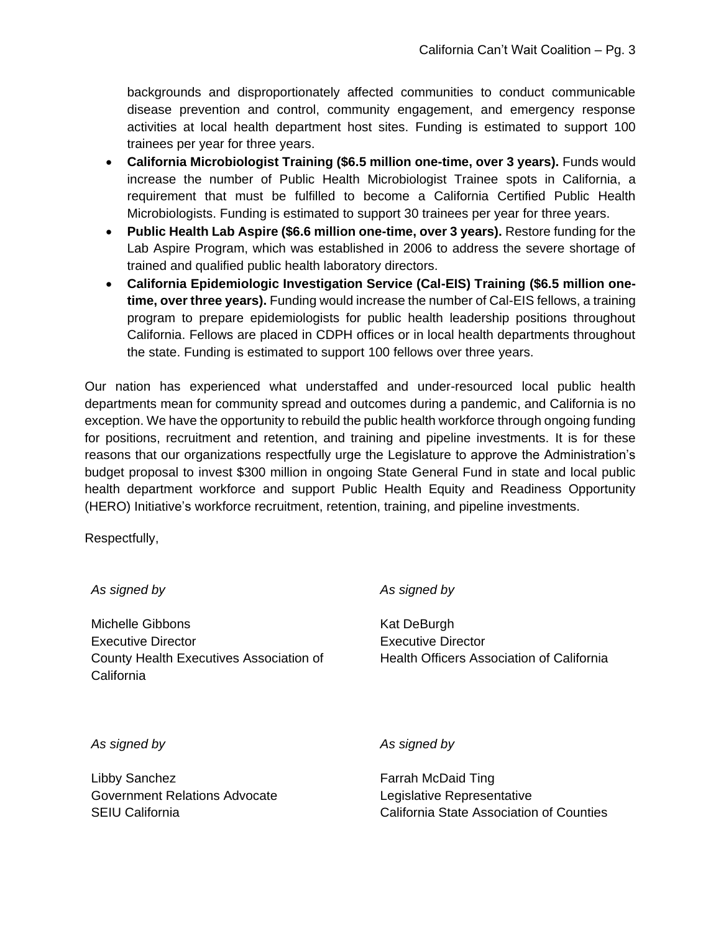backgrounds and disproportionately affected communities to conduct communicable disease prevention and control, community engagement, and emergency response activities at local health department host sites. Funding is estimated to support 100 trainees per year for three years.

- **California Microbiologist Training (\$6.5 million one-time, over 3 years).** Funds would increase the number of Public Health Microbiologist Trainee spots in California, a requirement that must be fulfilled to become a California Certified Public Health Microbiologists. Funding is estimated to support 30 trainees per year for three years.
- **Public Health Lab Aspire (\$6.6 million one-time, over 3 years).** Restore funding for the Lab Aspire Program, which was established in 2006 to address the severe shortage of trained and qualified public health laboratory directors.
- **California Epidemiologic Investigation Service (Cal-EIS) Training (\$6.5 million onetime, over three years).** Funding would increase the number of Cal-EIS fellows, a training program to prepare epidemiologists for public health leadership positions throughout California. Fellows are placed in CDPH offices or in local health departments throughout the state. Funding is estimated to support 100 fellows over three years.

Our nation has experienced what understaffed and under-resourced local public health departments mean for community spread and outcomes during a pandemic, and California is no exception. We have the opportunity to rebuild the public health workforce through ongoing funding for positions, recruitment and retention, and training and pipeline investments. It is for these reasons that our organizations respectfully urge the Legislature to approve the Administration's budget proposal to invest \$300 million in ongoing State General Fund in state and local public health department workforce and support Public Health Equity and Readiness Opportunity (HERO) Initiative's workforce recruitment, retention, training, and pipeline investments.

Respectfully,

*As signed by* Michelle Gibbons Executive Director County Health Executives Association of **California** *As signed by* Kat DeBurgh Executive Director Health Officers Association of California *As signed by*

Libby Sanchez Government Relations Advocate SEIU California

*As signed by*

Farrah McDaid Ting Legislative Representative California State Association of Counties